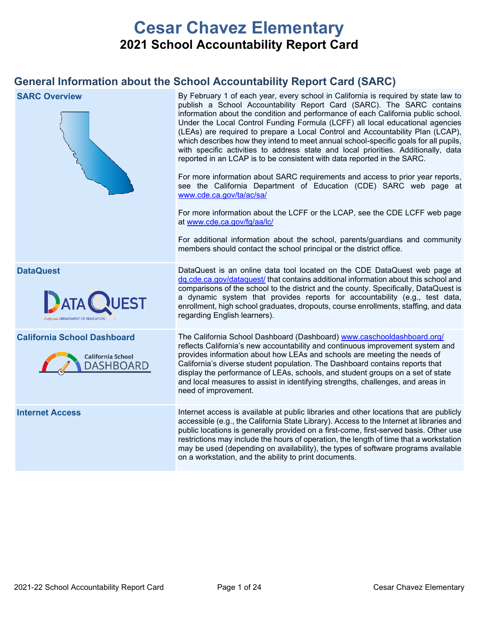# **Cesar Chavez Elementary 2021 School Accountability Report Card**

## **General Information about the School Accountability Report Card (SARC)**

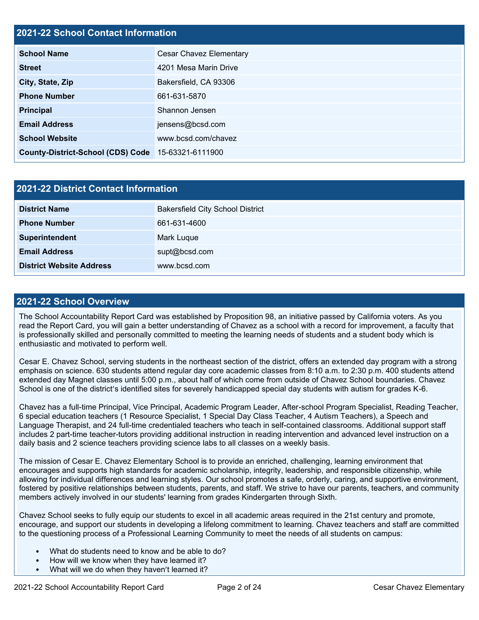## **2021-22 School Contact Information**

| <b>School Name</b>                       | <b>Cesar Chavez Elementary</b> |  |  |  |  |
|------------------------------------------|--------------------------------|--|--|--|--|
| <b>Street</b>                            | 4201 Mesa Marin Drive          |  |  |  |  |
| City, State, Zip                         | Bakersfield, CA 93306          |  |  |  |  |
| <b>Phone Number</b>                      | 661-631-5870                   |  |  |  |  |
| <b>Principal</b>                         | Shannon Jensen                 |  |  |  |  |
| <b>Email Address</b>                     | jensens@bcsd.com               |  |  |  |  |
| <b>School Website</b>                    | www.bcsd.com/chavez            |  |  |  |  |
| <b>County-District-School (CDS) Code</b> | 15-63321-6111900               |  |  |  |  |

| <b>2021-22 District Contact Information</b> |                                         |  |  |  |
|---------------------------------------------|-----------------------------------------|--|--|--|
| <b>District Name</b>                        | <b>Bakersfield City School District</b> |  |  |  |
| <b>Phone Number</b>                         | 661-631-4600                            |  |  |  |
| Superintendent                              | Mark Luque                              |  |  |  |
| <b>Email Address</b>                        | supt@bcsd.com                           |  |  |  |
| <b>District Website Address</b>             | www.bcsd.com                            |  |  |  |

#### **2021-22 School Overview**

The School Accountability Report Card was established by Proposition 98, an initiative passed by California voters. As you read the Report Card, you will gain a better understanding of Chavez as a school with a record for improvement, a faculty that is professionally skilled and personally committed to meeting the learning needs of students and a student body which is enthusiastic and motivated to perform well.

Cesar E. Chavez School, serving students in the northeast section of the district, offers an extended day program with a strong emphasis on science. 630 students attend regular day core academic classes from 8:10 a.m. to 2:30 p.m. 400 students attend extended day Magnet classes until 5:00 p.m., about half of which come from outside of Chavez School boundaries. Chavez School is one of the district's identified sites for severely handicapped special day students with autism for grades K-6.

Chavez has a full-time Principal, Vice Principal, Academic Program Leader, After-school Program Specialist, Reading Teacher, 6 special education teachers (1 Resource Specialist, 1 Special Day Class Teacher, 4 Autism Teachers), a Speech and Language Therapist, and 24 full-time credentialed teachers who teach in self-contained classrooms. Additional support staff includes 2 part-time teacher-tutors providing additional instruction in reading intervention and advanced level instruction on a daily basis and 2 science teachers providing science labs to all classes on a weekly basis.

The mission of Cesar E. Chavez Elementary School is to provide an enriched, challenging, learning environment that encourages and supports high standards for academic scholarship, integrity, leadership, and responsible citizenship, while allowing for individual differences and learning styles. Our school promotes a safe, orderly, caring, and supportive environment, fostered by positive relationships between students, parents, and staff. We strive to have our parents, teachers, and community members actively involved in our students' learning from grades Kindergarten through Sixth.

Chavez School seeks to fully equip our students to excel in all academic areas required in the 21st century and promote, encourage, and support our students in developing a lifelong commitment to learning. Chavez teachers and staff are committed to the questioning process of a Professional Learning Community to meet the needs of all students on campus:

- What do students need to know and be able to do?
- How will we know when they have learned it?
- What will we do when they haven't learned it?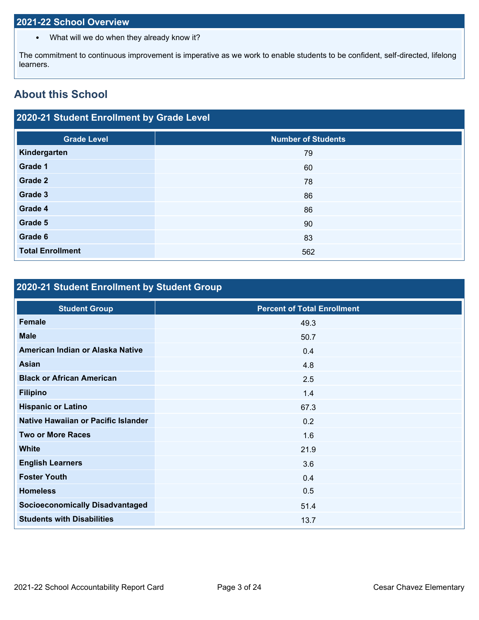## **2021-22 School Overview**

• What will we do when they already know it?

The commitment to continuous improvement is imperative as we work to enable students to be confident, self-directed, lifelong learners.

## **About this School**

## **2020-21 Student Enrollment by Grade Level**

| <b>Grade Level</b>      | <b>Number of Students</b> |
|-------------------------|---------------------------|
| Kindergarten            | 79                        |
| Grade 1                 | 60                        |
| Grade 2                 | 78                        |
| Grade 3                 | 86                        |
| Grade 4                 | 86                        |
| Grade 5                 | 90                        |
| Grade 6                 | 83                        |
| <b>Total Enrollment</b> | 562                       |

## **2020-21 Student Enrollment by Student Group**

| <b>Student Group</b>                   | <b>Percent of Total Enrollment</b> |
|----------------------------------------|------------------------------------|
| Female                                 | 49.3                               |
| <b>Male</b>                            | 50.7                               |
| American Indian or Alaska Native       | 0.4                                |
| <b>Asian</b>                           | 4.8                                |
| <b>Black or African American</b>       | 2.5                                |
| <b>Filipino</b>                        | 1.4                                |
| <b>Hispanic or Latino</b>              | 67.3                               |
| Native Hawaiian or Pacific Islander    | 0.2                                |
| <b>Two or More Races</b>               | 1.6                                |
| <b>White</b>                           | 21.9                               |
| <b>English Learners</b>                | 3.6                                |
| <b>Foster Youth</b>                    | 0.4                                |
| <b>Homeless</b>                        | 0.5                                |
| <b>Socioeconomically Disadvantaged</b> | 51.4                               |
| <b>Students with Disabilities</b>      | 13.7                               |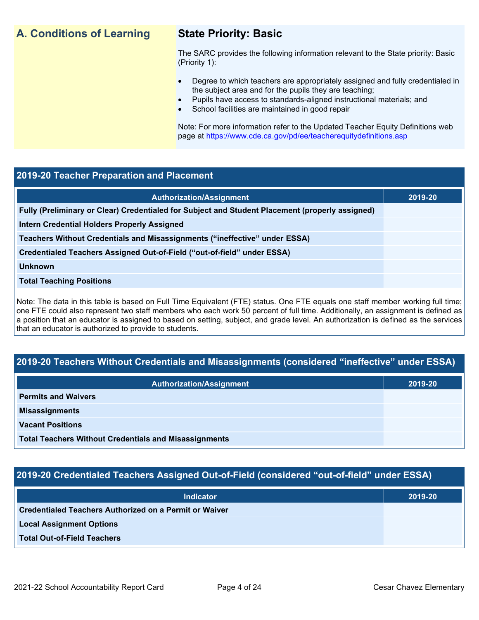## **A. Conditions of Learning State Priority: Basic**

The SARC provides the following information relevant to the State priority: Basic (Priority 1):

- Degree to which teachers are appropriately assigned and fully credentialed in the subject area and for the pupils they are teaching;
	- Pupils have access to standards-aligned instructional materials; and
- School facilities are maintained in good repair

Note: For more information refer to the Updated Teacher Equity Definitions web page at<https://www.cde.ca.gov/pd/ee/teacherequitydefinitions.asp>

### **2019-20 Teacher Preparation and Placement**

| <b>Authorization/Assignment</b>                                                                 | 2019-20 |
|-------------------------------------------------------------------------------------------------|---------|
| Fully (Preliminary or Clear) Credentialed for Subject and Student Placement (properly assigned) |         |
| <b>Intern Credential Holders Properly Assigned</b>                                              |         |
| Teachers Without Credentials and Misassignments ("ineffective" under ESSA)                      |         |
| Credentialed Teachers Assigned Out-of-Field ("out-of-field" under ESSA)                         |         |
| <b>Unknown</b>                                                                                  |         |
| <b>Total Teaching Positions</b>                                                                 |         |
|                                                                                                 |         |

Note: The data in this table is based on Full Time Equivalent (FTE) status. One FTE equals one staff member working full time; one FTE could also represent two staff members who each work 50 percent of full time. Additionally, an assignment is defined as a position that an educator is assigned to based on setting, subject, and grade level. An authorization is defined as the services that an educator is authorized to provide to students.

## **2019-20 Teachers Without Credentials and Misassignments (considered "ineffective" under ESSA)**

| <b>Authorization/Assignment</b>                              | 2019-20 |
|--------------------------------------------------------------|---------|
| <b>Permits and Waivers</b>                                   |         |
| <b>Misassignments</b>                                        |         |
| <b>Vacant Positions</b>                                      |         |
| <b>Total Teachers Without Credentials and Misassignments</b> |         |

## **2019-20 Credentialed Teachers Assigned Out-of-Field (considered "out-of-field" under ESSA)**

| <b>Indicator</b>                                              | 2019-20 |
|---------------------------------------------------------------|---------|
| <b>Credentialed Teachers Authorized on a Permit or Waiver</b> |         |
| <b>Local Assignment Options</b>                               |         |
| <b>Total Out-of-Field Teachers</b>                            |         |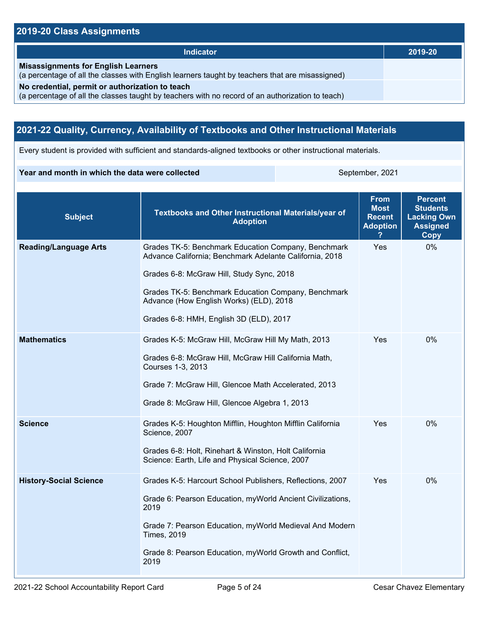## **2019-20 Class Assignments**

| <b>Indicator</b>                                                                                                                                    | 2019-20 |
|-----------------------------------------------------------------------------------------------------------------------------------------------------|---------|
| <b>Misassignments for English Learners</b><br>(a percentage of all the classes with English learners taught by teachers that are misassigned)       |         |
| No credential, permit or authorization to teach<br>(a percentage of all the classes taught by teachers with no record of an authorization to teach) |         |

## **2021-22 Quality, Currency, Availability of Textbooks and Other Instructional Materials**

Every student is provided with sufficient and standards-aligned textbooks or other instructional materials.

#### **Year and month in which the data were collected** September, 2021

| <b>Subject</b>                | <b>Textbooks and Other Instructional Materials/year of</b><br><b>Adoption</b>                                                                                                                                                                                                                            | <b>From</b><br><b>Most</b><br><b>Recent</b><br><b>Adoption</b> | <b>Percent</b><br><b>Students</b><br><b>Lacking Own</b><br><b>Assigned</b><br>Copy |
|-------------------------------|----------------------------------------------------------------------------------------------------------------------------------------------------------------------------------------------------------------------------------------------------------------------------------------------------------|----------------------------------------------------------------|------------------------------------------------------------------------------------|
| <b>Reading/Language Arts</b>  | Grades TK-5: Benchmark Education Company, Benchmark<br>Advance California; Benchmark Adelante California, 2018<br>Grades 6-8: McGraw Hill, Study Sync, 2018<br>Grades TK-5: Benchmark Education Company, Benchmark<br>Advance (How English Works) (ELD), 2018<br>Grades 6-8: HMH, English 3D (ELD), 2017 | Yes                                                            | 0%                                                                                 |
| <b>Mathematics</b>            | Grades K-5: McGraw Hill, McGraw Hill My Math, 2013<br>Grades 6-8: McGraw Hill, McGraw Hill California Math,<br>Courses 1-3, 2013<br>Grade 7: McGraw Hill, Glencoe Math Accelerated, 2013<br>Grade 8: McGraw Hill, Glencoe Algebra 1, 2013                                                                | Yes                                                            | 0%                                                                                 |
| <b>Science</b>                | Grades K-5: Houghton Mifflin, Houghton Mifflin California<br>Science, 2007<br>Grades 6-8: Holt, Rinehart & Winston, Holt California<br>Science: Earth, Life and Physical Science, 2007                                                                                                                   | Yes                                                            | $0\%$                                                                              |
| <b>History-Social Science</b> | Grades K-5: Harcourt School Publishers, Reflections, 2007<br>Grade 6: Pearson Education, myWorld Ancient Civilizations,<br>2019<br>Grade 7: Pearson Education, myWorld Medieval And Modern<br><b>Times, 2019</b><br>Grade 8: Pearson Education, myWorld Growth and Conflict,<br>2019                     | Yes                                                            | 0%                                                                                 |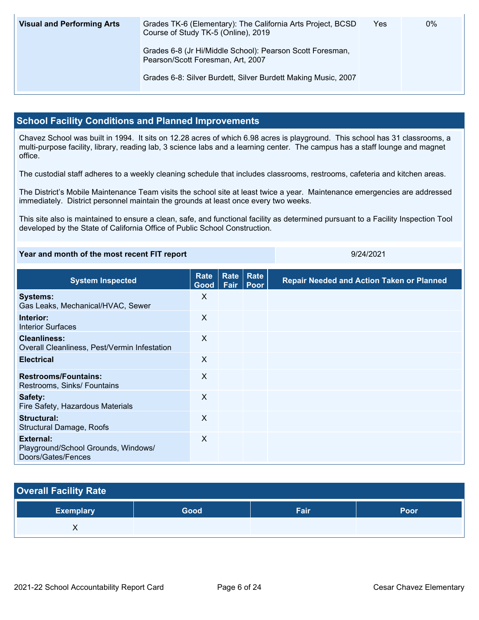| <b>Visual and Performing Arts</b> | Grades TK-6 (Elementary): The California Arts Project, BCSD<br>Course of Study TK-5 (Online), 2019 | Yes | $0\%$ |
|-----------------------------------|----------------------------------------------------------------------------------------------------|-----|-------|
|                                   | Grades 6-8 (Jr Hi/Middle School): Pearson Scott Foresman,<br>Pearson/Scott Foresman, Art, 2007     |     |       |
|                                   | Grades 6-8: Silver Burdett, Silver Burdett Making Music, 2007                                      |     |       |

### **School Facility Conditions and Planned Improvements**

Chavez School was built in 1994. It sits on 12.28 acres of which 6.98 acres is playground. This school has 31 classrooms, a multi-purpose facility, library, reading lab, 3 science labs and a learning center. The campus has a staff lounge and magnet office.

The custodial staff adheres to a weekly cleaning schedule that includes classrooms, restrooms, cafeteria and kitchen areas.

The District's Mobile Maintenance Team visits the school site at least twice a year. Maintenance emergencies are addressed immediately. District personnel maintain the grounds at least once every two weeks.

This site also is maintained to ensure a clean, safe, and functional facility as determined pursuant to a Facility Inspection Tool developed by the State of California Office of Public School Construction.

#### **Year and month of the most recent FIT report 12000 124/2021** 9/24/2021

| <b>System Inspected</b>                                                | <b>Rate</b><br>Good | Rate<br>Fair | Rate<br>Poor | <b>Repair Needed and Action Taken or Planned</b> |
|------------------------------------------------------------------------|---------------------|--------------|--------------|--------------------------------------------------|
| <b>Systems:</b><br>Gas Leaks, Mechanical/HVAC, Sewer                   | X                   |              |              |                                                  |
| Interior:<br><b>Interior Surfaces</b>                                  | $\times$            |              |              |                                                  |
| <b>Cleanliness:</b><br>Overall Cleanliness, Pest/Vermin Infestation    | X                   |              |              |                                                  |
| <b>Electrical</b>                                                      | $\sf X$             |              |              |                                                  |
| <b>Restrooms/Fountains:</b><br>Restrooms, Sinks/ Fountains             | X                   |              |              |                                                  |
| Safety:<br>Fire Safety, Hazardous Materials                            | X                   |              |              |                                                  |
| Structural:<br><b>Structural Damage, Roofs</b>                         | X                   |              |              |                                                  |
| External:<br>Playground/School Grounds, Windows/<br>Doors/Gates/Fences | X                   |              |              |                                                  |

## **Overall Facility Rate**

| <b>Exemplary</b> | Good | Fair | Poor |
|------------------|------|------|------|
| ,,               |      |      |      |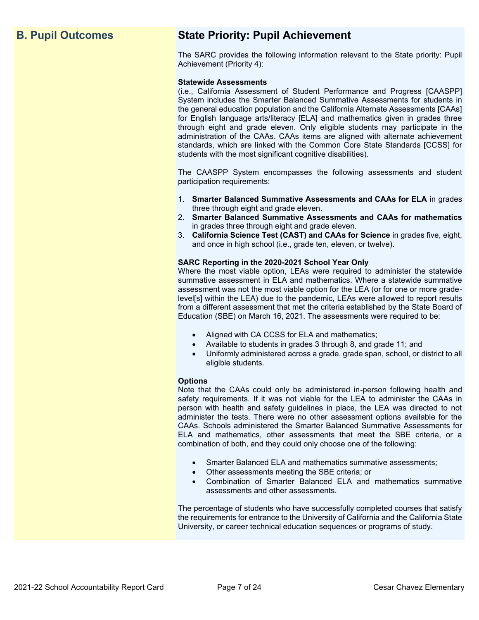## **B. Pupil Outcomes State Priority: Pupil Achievement**

The SARC provides the following information relevant to the State priority: Pupil Achievement (Priority 4):

#### **Statewide Assessments**

(i.e., California Assessment of Student Performance and Progress [CAASPP] System includes the Smarter Balanced Summative Assessments for students in the general education population and the California Alternate Assessments [CAAs] for English language arts/literacy [ELA] and mathematics given in grades three through eight and grade eleven. Only eligible students may participate in the administration of the CAAs. CAAs items are aligned with alternate achievement standards, which are linked with the Common Core State Standards [CCSS] for students with the most significant cognitive disabilities).

The CAASPP System encompasses the following assessments and student participation requirements:

- 1. **Smarter Balanced Summative Assessments and CAAs for ELA** in grades three through eight and grade eleven.
- 2. **Smarter Balanced Summative Assessments and CAAs for mathematics** in grades three through eight and grade eleven.
- 3. **California Science Test (CAST) and CAAs for Science** in grades five, eight, and once in high school (i.e., grade ten, eleven, or twelve).

#### **SARC Reporting in the 2020-2021 School Year Only**

Where the most viable option, LEAs were required to administer the statewide summative assessment in ELA and mathematics. Where a statewide summative assessment was not the most viable option for the LEA (or for one or more gradelevel[s] within the LEA) due to the pandemic, LEAs were allowed to report results from a different assessment that met the criteria established by the State Board of Education (SBE) on March 16, 2021. The assessments were required to be:

- Aligned with CA CCSS for ELA and mathematics;
- Available to students in grades 3 through 8, and grade 11; and
- Uniformly administered across a grade, grade span, school, or district to all eligible students.

#### **Options**

Note that the CAAs could only be administered in-person following health and safety requirements. If it was not viable for the LEA to administer the CAAs in person with health and safety guidelines in place, the LEA was directed to not administer the tests. There were no other assessment options available for the CAAs. Schools administered the Smarter Balanced Summative Assessments for ELA and mathematics, other assessments that meet the SBE criteria, or a combination of both, and they could only choose one of the following:

- Smarter Balanced ELA and mathematics summative assessments;
- Other assessments meeting the SBE criteria; or
- Combination of Smarter Balanced ELA and mathematics summative assessments and other assessments.

The percentage of students who have successfully completed courses that satisfy the requirements for entrance to the University of California and the California State University, or career technical education sequences or programs of study.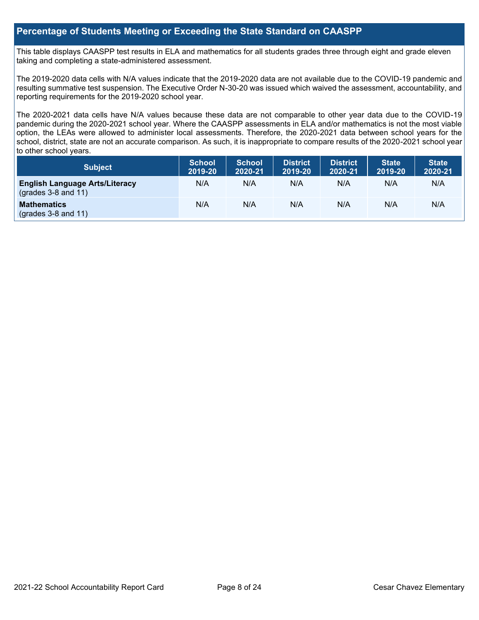### **Percentage of Students Meeting or Exceeding the State Standard on CAASPP**

This table displays CAASPP test results in ELA and mathematics for all students grades three through eight and grade eleven taking and completing a state-administered assessment.

The 2019-2020 data cells with N/A values indicate that the 2019-2020 data are not available due to the COVID-19 pandemic and resulting summative test suspension. The Executive Order N-30-20 was issued which waived the assessment, accountability, and reporting requirements for the 2019-2020 school year.

The 2020-2021 data cells have N/A values because these data are not comparable to other year data due to the COVID-19 pandemic during the 2020-2021 school year. Where the CAASPP assessments in ELA and/or mathematics is not the most viable option, the LEAs were allowed to administer local assessments. Therefore, the 2020-2021 data between school years for the school, district, state are not an accurate comparison. As such, it is inappropriate to compare results of the 2020-2021 school year to other school years.

| Subject                                                              | <b>School</b><br>2019-20 | <b>School</b><br>2020-21 | <b>District</b><br>2019-20 | <b>District</b><br>2020-21 | <b>State</b><br>2019-20 | <b>State</b><br>2020-21 |
|----------------------------------------------------------------------|--------------------------|--------------------------|----------------------------|----------------------------|-------------------------|-------------------------|
| <b>English Language Arts/Literacy</b><br>$\left($ grades 3-8 and 11) | N/A                      | N/A                      | N/A                        | N/A                        | N/A                     | N/A                     |
| <b>Mathematics</b><br>$(grades 3-8 and 11)$                          | N/A                      | N/A                      | N/A                        | N/A                        | N/A                     | N/A                     |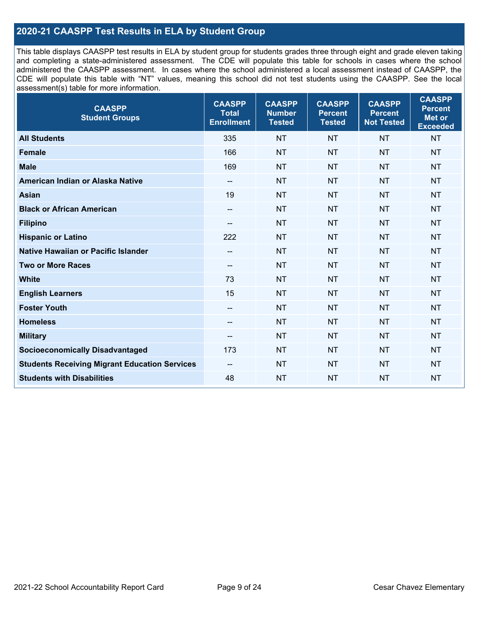## **2020-21 CAASPP Test Results in ELA by Student Group**

This table displays CAASPP test results in ELA by student group for students grades three through eight and grade eleven taking and completing a state-administered assessment. The CDE will populate this table for schools in cases where the school administered the CAASPP assessment. In cases where the school administered a local assessment instead of CAASPP, the CDE will populate this table with "NT" values, meaning this school did not test students using the CAASPP. See the local assessment(s) table for more information.

| <b>CAASPP</b><br><b>Student Groups</b>               | <b>CAASPP</b><br><b>Total</b><br><b>Enrollment</b> | <b>CAASPP</b><br><b>Number</b><br><b>Tested</b> | <b>CAASPP</b><br><b>Percent</b><br><b>Tested</b> | <b>CAASPP</b><br><b>Percent</b><br><b>Not Tested</b> | <b>CAASPP</b><br><b>Percent</b><br><b>Met or</b><br><b>Exceeded</b> |
|------------------------------------------------------|----------------------------------------------------|-------------------------------------------------|--------------------------------------------------|------------------------------------------------------|---------------------------------------------------------------------|
| <b>All Students</b>                                  | 335                                                | <b>NT</b>                                       | <b>NT</b>                                        | <b>NT</b>                                            | <b>NT</b>                                                           |
| <b>Female</b>                                        | 166                                                | <b>NT</b>                                       | <b>NT</b>                                        | <b>NT</b>                                            | <b>NT</b>                                                           |
| <b>Male</b>                                          | 169                                                | <b>NT</b>                                       | <b>NT</b>                                        | <b>NT</b>                                            | <b>NT</b>                                                           |
| American Indian or Alaska Native                     | $\overline{\phantom{a}}$                           | <b>NT</b>                                       | <b>NT</b>                                        | <b>NT</b>                                            | <b>NT</b>                                                           |
| <b>Asian</b>                                         | 19                                                 | <b>NT</b>                                       | <b>NT</b>                                        | <b>NT</b>                                            | <b>NT</b>                                                           |
| <b>Black or African American</b>                     | $\overline{\phantom{m}}$                           | <b>NT</b>                                       | <b>NT</b>                                        | <b>NT</b>                                            | <b>NT</b>                                                           |
| <b>Filipino</b>                                      | --                                                 | <b>NT</b>                                       | <b>NT</b>                                        | <b>NT</b>                                            | <b>NT</b>                                                           |
| <b>Hispanic or Latino</b>                            | 222                                                | <b>NT</b>                                       | <b>NT</b>                                        | <b>NT</b>                                            | <b>NT</b>                                                           |
| Native Hawaiian or Pacific Islander                  | --                                                 | <b>NT</b>                                       | <b>NT</b>                                        | <b>NT</b>                                            | <b>NT</b>                                                           |
| <b>Two or More Races</b>                             | $\overline{\phantom{a}}$                           | <b>NT</b>                                       | <b>NT</b>                                        | <b>NT</b>                                            | <b>NT</b>                                                           |
| <b>White</b>                                         | 73                                                 | <b>NT</b>                                       | <b>NT</b>                                        | <b>NT</b>                                            | <b>NT</b>                                                           |
| <b>English Learners</b>                              | 15                                                 | <b>NT</b>                                       | <b>NT</b>                                        | <b>NT</b>                                            | <b>NT</b>                                                           |
| <b>Foster Youth</b>                                  | $-$                                                | <b>NT</b>                                       | <b>NT</b>                                        | <b>NT</b>                                            | <b>NT</b>                                                           |
| <b>Homeless</b>                                      | $\overline{\phantom{a}}$                           | <b>NT</b>                                       | <b>NT</b>                                        | <b>NT</b>                                            | <b>NT</b>                                                           |
| <b>Military</b>                                      | --                                                 | <b>NT</b>                                       | <b>NT</b>                                        | <b>NT</b>                                            | <b>NT</b>                                                           |
| <b>Socioeconomically Disadvantaged</b>               | 173                                                | <b>NT</b>                                       | <b>NT</b>                                        | <b>NT</b>                                            | <b>NT</b>                                                           |
| <b>Students Receiving Migrant Education Services</b> | $-$                                                | <b>NT</b>                                       | <b>NT</b>                                        | <b>NT</b>                                            | NT                                                                  |
| <b>Students with Disabilities</b>                    | 48                                                 | <b>NT</b>                                       | <b>NT</b>                                        | <b>NT</b>                                            | <b>NT</b>                                                           |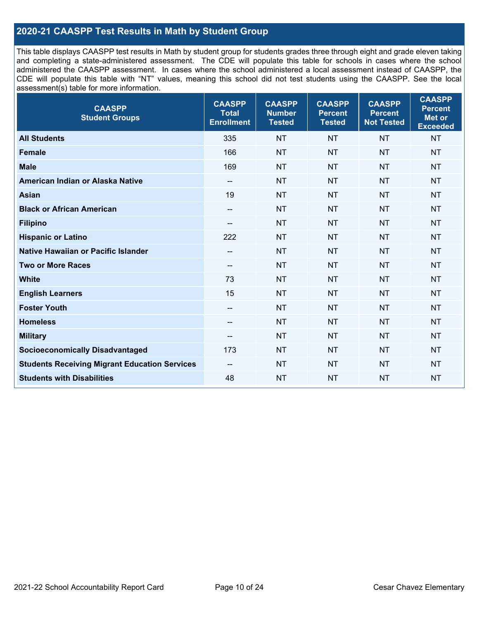## **2020-21 CAASPP Test Results in Math by Student Group**

This table displays CAASPP test results in Math by student group for students grades three through eight and grade eleven taking and completing a state-administered assessment. The CDE will populate this table for schools in cases where the school administered the CAASPP assessment. In cases where the school administered a local assessment instead of CAASPP, the CDE will populate this table with "NT" values, meaning this school did not test students using the CAASPP. See the local assessment(s) table for more information.

| <b>CAASPP</b><br><b>Student Groups</b>               | <b>CAASPP</b><br><b>Total</b><br><b>Enrollment</b> | <b>CAASPP</b><br><b>Number</b><br><b>Tested</b> | <b>CAASPP</b><br><b>Percent</b><br><b>Tested</b> | <b>CAASPP</b><br><b>Percent</b><br><b>Not Tested</b> | <b>CAASPP</b><br><b>Percent</b><br><b>Met or</b><br><b>Exceeded</b> |
|------------------------------------------------------|----------------------------------------------------|-------------------------------------------------|--------------------------------------------------|------------------------------------------------------|---------------------------------------------------------------------|
| <b>All Students</b>                                  | 335                                                | <b>NT</b>                                       | <b>NT</b>                                        | <b>NT</b>                                            | <b>NT</b>                                                           |
| <b>Female</b>                                        | 166                                                | <b>NT</b>                                       | <b>NT</b>                                        | <b>NT</b>                                            | <b>NT</b>                                                           |
| <b>Male</b>                                          | 169                                                | <b>NT</b>                                       | <b>NT</b>                                        | <b>NT</b>                                            | <b>NT</b>                                                           |
| American Indian or Alaska Native                     | $\overline{\phantom{a}}$                           | <b>NT</b>                                       | <b>NT</b>                                        | <b>NT</b>                                            | <b>NT</b>                                                           |
| <b>Asian</b>                                         | 19                                                 | <b>NT</b>                                       | <b>NT</b>                                        | <b>NT</b>                                            | <b>NT</b>                                                           |
| <b>Black or African American</b>                     | $\overline{\phantom{a}}$                           | <b>NT</b>                                       | <b>NT</b>                                        | <b>NT</b>                                            | <b>NT</b>                                                           |
| <b>Filipino</b>                                      | $\overline{\phantom{a}}$                           | <b>NT</b>                                       | <b>NT</b>                                        | <b>NT</b>                                            | <b>NT</b>                                                           |
| <b>Hispanic or Latino</b>                            | 222                                                | <b>NT</b>                                       | <b>NT</b>                                        | <b>NT</b>                                            | <b>NT</b>                                                           |
| Native Hawaiian or Pacific Islander                  | --                                                 | <b>NT</b>                                       | <b>NT</b>                                        | <b>NT</b>                                            | <b>NT</b>                                                           |
| <b>Two or More Races</b>                             | --                                                 | <b>NT</b>                                       | <b>NT</b>                                        | <b>NT</b>                                            | <b>NT</b>                                                           |
| <b>White</b>                                         | 73                                                 | <b>NT</b>                                       | <b>NT</b>                                        | <b>NT</b>                                            | NT                                                                  |
| <b>English Learners</b>                              | 15                                                 | <b>NT</b>                                       | <b>NT</b>                                        | <b>NT</b>                                            | <b>NT</b>                                                           |
| <b>Foster Youth</b>                                  | $\overline{\phantom{a}}$                           | <b>NT</b>                                       | <b>NT</b>                                        | <b>NT</b>                                            | <b>NT</b>                                                           |
| <b>Homeless</b>                                      | $\overline{\phantom{a}}$                           | <b>NT</b>                                       | <b>NT</b>                                        | <b>NT</b>                                            | <b>NT</b>                                                           |
| <b>Military</b>                                      | --                                                 | <b>NT</b>                                       | <b>NT</b>                                        | <b>NT</b>                                            | <b>NT</b>                                                           |
| <b>Socioeconomically Disadvantaged</b>               | 173                                                | <b>NT</b>                                       | <b>NT</b>                                        | <b>NT</b>                                            | <b>NT</b>                                                           |
| <b>Students Receiving Migrant Education Services</b> | $\overline{\phantom{a}}$                           | <b>NT</b>                                       | <b>NT</b>                                        | <b>NT</b>                                            | NT                                                                  |
| <b>Students with Disabilities</b>                    | 48                                                 | <b>NT</b>                                       | <b>NT</b>                                        | <b>NT</b>                                            | <b>NT</b>                                                           |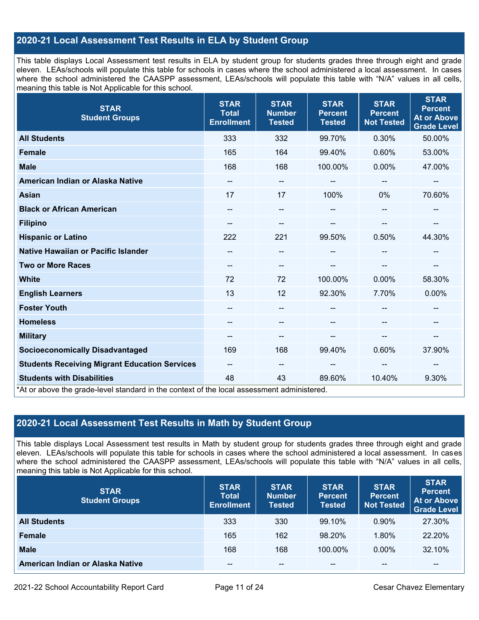## **2020-21 Local Assessment Test Results in ELA by Student Group**

This table displays Local Assessment test results in ELA by student group for students grades three through eight and grade eleven. LEAs/schools will populate this table for schools in cases where the school administered a local assessment. In cases where the school administered the CAASPP assessment, LEAs/schools will populate this table with "N/A" values in all cells, meaning this table is Not Applicable for this school.

| <b>STAR</b><br><b>Student Groups</b>                                                                                            | <b>STAR</b><br><b>Total</b><br><b>Enrollment</b> | <b>STAR</b><br><b>Number</b><br><b>Tested</b> | <b>STAR</b><br><b>Percent</b><br><b>Tested</b> | <b>STAR</b><br><b>Percent</b><br><b>Not Tested</b> | <b>STAR</b><br><b>Percent</b><br><b>At or Above</b><br><b>Grade Level</b> |
|---------------------------------------------------------------------------------------------------------------------------------|--------------------------------------------------|-----------------------------------------------|------------------------------------------------|----------------------------------------------------|---------------------------------------------------------------------------|
| <b>All Students</b>                                                                                                             | 333                                              | 332                                           | 99.70%                                         | 0.30%                                              | 50.00%                                                                    |
| <b>Female</b>                                                                                                                   | 165                                              | 164                                           | 99.40%                                         | 0.60%                                              | 53.00%                                                                    |
| <b>Male</b>                                                                                                                     | 168                                              | 168                                           | 100.00%                                        | 0.00%                                              | 47.00%                                                                    |
| American Indian or Alaska Native                                                                                                | --                                               | $\overline{\phantom{m}}$                      | --                                             | --                                                 | $\overline{\phantom{a}}$                                                  |
| <b>Asian</b>                                                                                                                    | 17                                               | 17                                            | 100%                                           | 0%                                                 | 70.60%                                                                    |
| <b>Black or African American</b>                                                                                                | $\qquad \qquad -$                                | --                                            | --                                             | --                                                 | $\hspace{0.05cm}$                                                         |
| <b>Filipino</b>                                                                                                                 |                                                  | --                                            |                                                |                                                    | --                                                                        |
| <b>Hispanic or Latino</b>                                                                                                       | 222                                              | 221                                           | 99.50%                                         | 0.50%                                              | 44.30%                                                                    |
| <b>Native Hawaiian or Pacific Islander</b>                                                                                      |                                                  | --                                            |                                                |                                                    |                                                                           |
| <b>Two or More Races</b>                                                                                                        | $\qquad \qquad -$                                | $-$                                           | --                                             |                                                    | $\overline{\phantom{a}}$                                                  |
| <b>White</b>                                                                                                                    | 72                                               | 72                                            | 100.00%                                        | $0.00\%$                                           | 58.30%                                                                    |
| <b>English Learners</b>                                                                                                         | 13                                               | 12                                            | 92.30%                                         | 7.70%                                              | 0.00%                                                                     |
| <b>Foster Youth</b>                                                                                                             | --                                               | --                                            |                                                |                                                    | --                                                                        |
| <b>Homeless</b>                                                                                                                 |                                                  | --                                            |                                                |                                                    |                                                                           |
| <b>Military</b>                                                                                                                 | $\qquad \qquad -$                                | --                                            | --                                             | --                                                 | $\overline{\phantom{a}}$                                                  |
| <b>Socioeconomically Disadvantaged</b>                                                                                          | 169                                              | 168                                           | 99.40%                                         | 0.60%                                              | 37.90%                                                                    |
| <b>Students Receiving Migrant Education Services</b>                                                                            | $- -$                                            | $-$                                           | --                                             | --                                                 | --                                                                        |
| <b>Students with Disabilities</b><br>*At or above the grade-level standard in the context of the local assessment administered. | 48                                               | 43                                            | 89.60%                                         | 10.40%                                             | 9.30%                                                                     |

## **2020-21 Local Assessment Test Results in Math by Student Group**

This table displays Local Assessment test results in Math by student group for students grades three through eight and grade eleven. LEAs/schools will populate this table for schools in cases where the school administered a local assessment. In cases where the school administered the CAASPP assessment, LEAs/schools will populate this table with "N/A" values in all cells, meaning this table is Not Applicable for this school.

| <b>STAR</b><br><b>Student Groups</b> | <b>STAR</b><br><b>Total</b><br><b>Enrollment</b> | <b>STAR</b><br><b>Number</b><br><b>Tested</b> | <b>STAR</b><br><b>Percent</b><br><b>Tested</b> | <b>STAR</b><br><b>Percent</b><br><b>Not Tested</b> | <b>STAR</b><br><b>Percent</b><br><b>At or Above</b><br><b>Grade Level</b> |
|--------------------------------------|--------------------------------------------------|-----------------------------------------------|------------------------------------------------|----------------------------------------------------|---------------------------------------------------------------------------|
| <b>All Students</b>                  | 333                                              | 330                                           | 99.10%                                         | $0.90\%$                                           | 27.30%                                                                    |
| <b>Female</b>                        | 165                                              | 162                                           | 98.20%                                         | 1.80%                                              | 22.20%                                                                    |
| <b>Male</b>                          | 168                                              | 168                                           | 100.00%                                        | $0.00\%$                                           | 32.10%                                                                    |
| American Indian or Alaska Native     | --                                               | $- -$                                         | $- -$                                          | $\sim$ $\sim$                                      | $\overline{\phantom{m}}$                                                  |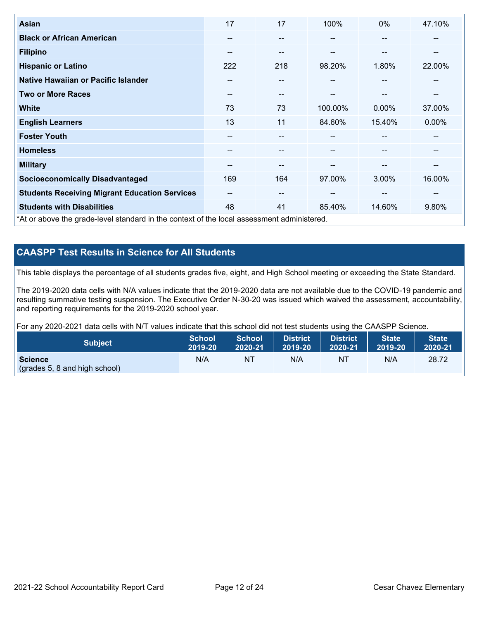| <b>Asian</b>                                                                               | 17    | 17                       | 100%    | $0\%$                    | 47.10%   |
|--------------------------------------------------------------------------------------------|-------|--------------------------|---------|--------------------------|----------|
| <b>Black or African American</b>                                                           | --    | $- -$                    |         | --                       | --       |
| <b>Filipino</b>                                                                            | --    | $- -$                    | --      | --                       | --       |
| <b>Hispanic or Latino</b>                                                                  | 222   | 218                      | 98.20%  | 1.80%                    | 22.00%   |
| Native Hawaiian or Pacific Islander                                                        | --    | $\overline{\phantom{m}}$ | --      | $\overline{\phantom{m}}$ | --       |
| <b>Two or More Races</b>                                                                   | --    | $- -$                    | --      | --                       | --       |
| <b>White</b>                                                                               | 73    | 73                       | 100.00% | 0.00%                    | 37.00%   |
| <b>English Learners</b>                                                                    | 13    | 11                       | 84.60%  | 15.40%                   | $0.00\%$ |
| <b>Foster Youth</b>                                                                        | --    | --                       |         | --                       | --       |
| <b>Homeless</b>                                                                            | --    | $- -$                    |         | --                       | --       |
| <b>Military</b>                                                                            | --    | $\overline{\phantom{m}}$ | --      | --                       | --       |
| <b>Socioeconomically Disadvantaged</b>                                                     | 169   | 164                      | 97.00%  | 3.00%                    | 16.00%   |
| <b>Students Receiving Migrant Education Services</b>                                       | $- -$ | $\overline{\phantom{m}}$ | --      | $-$                      | --       |
| <b>Students with Disabilities</b>                                                          | 48    | 41                       | 85.40%  | 14.60%                   | 9.80%    |
| *At or above the grade-level standard in the context of the local assessment administered. |       |                          |         |                          |          |

## **CAASPP Test Results in Science for All Students**

This table displays the percentage of all students grades five, eight, and High School meeting or exceeding the State Standard.

The 2019-2020 data cells with N/A values indicate that the 2019-2020 data are not available due to the COVID-19 pandemic and resulting summative testing suspension. The Executive Order N-30-20 was issued which waived the assessment, accountability, and reporting requirements for the 2019-2020 school year.

For any 2020-2021 data cells with N/T values indicate that this school did not test students using the CAASPP Science.

| <b>Subject</b>                                           | <b>School</b> | <b>School</b> | <b>District</b> | District | <b>State</b> | <b>State</b> |
|----------------------------------------------------------|---------------|---------------|-----------------|----------|--------------|--------------|
|                                                          | 2019-20       | 2020-21       | 2019-20         | 2020-21  | 2019-20      | 2020-21      |
| <b>Science</b><br>$\left($ (grades 5, 8 and high school) | N/A           | NT            | N/A             | NT       | N/A          | 28.72        |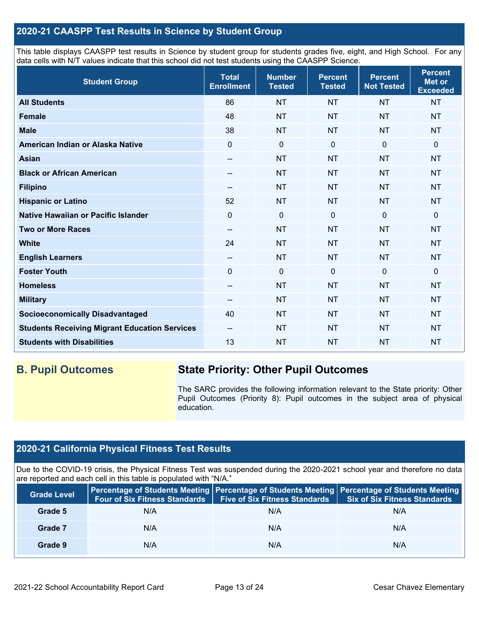## **2020-21 CAASPP Test Results in Science by Student Group**

This table displays CAASPP test results in Science by student group for students grades five, eight, and High School. For any data cells with N/T values indicate that this school did not test students using the CAASPP Science.

| <b>Student Group</b>                                 | <b>Total</b><br><b>Enrollment</b>     | <b>Number</b><br><b>Tested</b> | <b>Percent</b><br><b>Tested</b> | <b>Percent</b><br><b>Not Tested</b> | <b>Percent</b><br>Met or<br><b>Exceeded</b> |
|------------------------------------------------------|---------------------------------------|--------------------------------|---------------------------------|-------------------------------------|---------------------------------------------|
| <b>All Students</b>                                  | 86                                    | <b>NT</b>                      | <b>NT</b>                       | <b>NT</b>                           | <b>NT</b>                                   |
| <b>Female</b>                                        | 48                                    | <b>NT</b>                      | <b>NT</b>                       | <b>NT</b>                           | <b>NT</b>                                   |
| <b>Male</b>                                          | 38                                    | <b>NT</b>                      | <b>NT</b>                       | <b>NT</b>                           | <b>NT</b>                                   |
| American Indian or Alaska Native                     | $\Omega$                              | $\mathbf 0$                    | $\mathbf{0}$                    | $\overline{0}$                      | 0                                           |
| <b>Asian</b>                                         | --                                    | <b>NT</b>                      | <b>NT</b>                       | <b>NT</b>                           | <b>NT</b>                                   |
| <b>Black or African American</b>                     | --                                    | <b>NT</b>                      | <b>NT</b>                       | <b>NT</b>                           | <b>NT</b>                                   |
| <b>Filipino</b>                                      | --                                    | <b>NT</b>                      | <b>NT</b>                       | <b>NT</b>                           | <b>NT</b>                                   |
| <b>Hispanic or Latino</b>                            | 52                                    | <b>NT</b>                      | <b>NT</b>                       | <b>NT</b>                           | <b>NT</b>                                   |
| Native Hawaiian or Pacific Islander                  | $\Omega$                              | $\mathbf 0$                    | $\mathbf 0$                     | $\mathbf 0$                         | 0                                           |
| <b>Two or More Races</b>                             | $-$                                   | <b>NT</b>                      | <b>NT</b>                       | <b>NT</b>                           | <b>NT</b>                                   |
| <b>White</b>                                         | 24                                    | <b>NT</b>                      | <b>NT</b>                       | <b>NT</b>                           | <b>NT</b>                                   |
| <b>English Learners</b>                              | $\hspace{0.05cm}$ – $\hspace{0.05cm}$ | <b>NT</b>                      | <b>NT</b>                       | <b>NT</b>                           | <b>NT</b>                                   |
| <b>Foster Youth</b>                                  | $\mathbf 0$                           | $\mathbf 0$                    | $\mathbf{0}$                    | $\overline{0}$                      | 0                                           |
| <b>Homeless</b>                                      | --                                    | <b>NT</b>                      | <b>NT</b>                       | <b>NT</b>                           | <b>NT</b>                                   |
| <b>Military</b>                                      | --                                    | <b>NT</b>                      | <b>NT</b>                       | <b>NT</b>                           | <b>NT</b>                                   |
| <b>Socioeconomically Disadvantaged</b>               | 40                                    | <b>NT</b>                      | <b>NT</b>                       | <b>NT</b>                           | <b>NT</b>                                   |
| <b>Students Receiving Migrant Education Services</b> | $\qquad \qquad -$                     | <b>NT</b>                      | <b>NT</b>                       | <b>NT</b>                           | <b>NT</b>                                   |
| <b>Students with Disabilities</b>                    | 13                                    | <b>NT</b>                      | <b>NT</b>                       | <b>NT</b>                           | <b>NT</b>                                   |

## **B. Pupil Outcomes State Priority: Other Pupil Outcomes**

The SARC provides the following information relevant to the State priority: Other Pupil Outcomes (Priority 8): Pupil outcomes in the subject area of physical education.

## **2020-21 California Physical Fitness Test Results**

Due to the COVID-19 crisis, the Physical Fitness Test was suspended during the 2020-2021 school year and therefore no data are reported and each cell in this table is populated with "N/A."

| <b>Grade Level</b> | <b>Four of Six Fitness Standards</b> | <b>Five of Six Fitness Standards</b> | Percentage of Students Meeting Percentage of Students Meeting Percentage of Students Meeting<br><b>Six of Six Fitness Standards</b> |
|--------------------|--------------------------------------|--------------------------------------|-------------------------------------------------------------------------------------------------------------------------------------|
| Grade 5            | N/A                                  | N/A                                  | N/A                                                                                                                                 |
| Grade 7            | N/A                                  | N/A                                  | N/A                                                                                                                                 |
| Grade 9            | N/A                                  | N/A                                  | N/A                                                                                                                                 |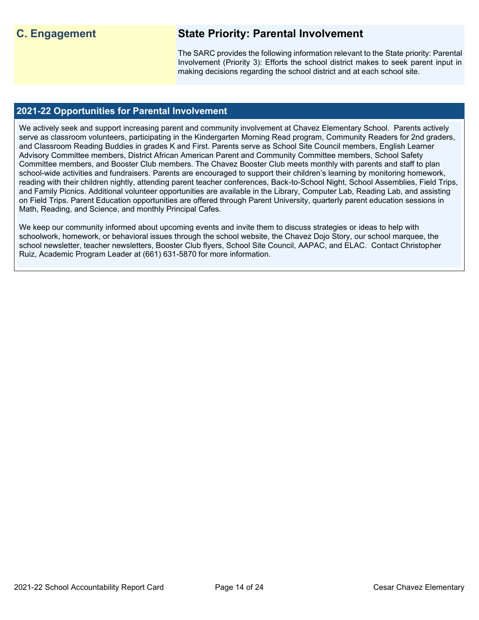## **C. Engagement State Priority: Parental Involvement**

The SARC provides the following information relevant to the State priority: Parental Involvement (Priority 3): Efforts the school district makes to seek parent input in making decisions regarding the school district and at each school site.

## **2021-22 Opportunities for Parental Involvement**

We actively seek and support increasing parent and community involvement at Chavez Elementary School. Parents actively serve as classroom volunteers, participating in the Kindergarten Morning Read program, Community Readers for 2nd graders, and Classroom Reading Buddies in grades K and First. Parents serve as School Site Council members, English Learner Advisory Committee members, District African American Parent and Community Committee members, School Safety Committee members, and Booster Club members. The Chavez Booster Club meets monthly with parents and staff to plan school-wide activities and fundraisers. Parents are encouraged to support their children's learning by monitoring homework, reading with their children nightly, attending parent teacher conferences, Back-to-School Night, School Assemblies, Field Trips, and Family Picnics. Additional volunteer opportunities are available in the Library, Computer Lab, Reading Lab, and assisting on Field Trips. Parent Education opportunities are offered through Parent University, quarterly parent education sessions in Math, Reading, and Science, and monthly Principal Cafes.

We keep our community informed about upcoming events and invite them to discuss strategies or ideas to help with schoolwork, homework, or behavioral issues through the school website, the Chavez Dojo Story, our school marquee, the school newsletter, teacher newsletters, Booster Club flyers, School Site Council, AAPAC, and ELAC. Contact Christopher Ruiz, Academic Program Leader at (661) 631-5870 for more information.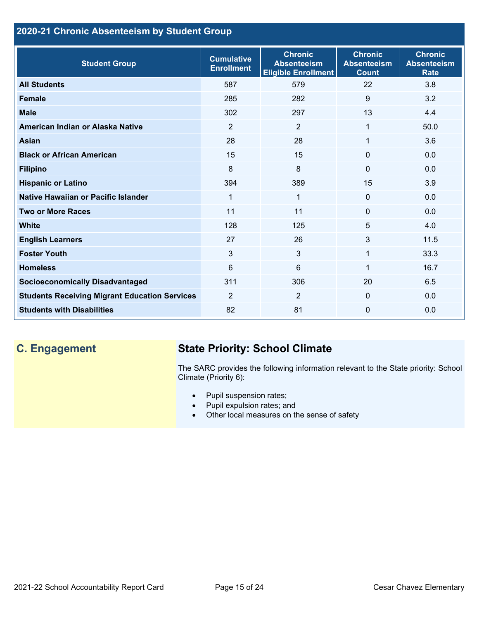## **2020-21 Chronic Absenteeism by Student Group**

| <b>Student Group</b>                                 | <b>Cumulative</b><br><b>Enrollment</b> | <b>Chronic</b><br><b>Absenteeism</b><br><b>Eligible Enrollment</b> | <b>Chronic</b><br><b>Absenteeism</b><br><b>Count</b> | <b>Chronic</b><br><b>Absenteeism</b><br><b>Rate</b> |
|------------------------------------------------------|----------------------------------------|--------------------------------------------------------------------|------------------------------------------------------|-----------------------------------------------------|
| <b>All Students</b>                                  | 587                                    | 579                                                                | 22                                                   | 3.8                                                 |
| <b>Female</b>                                        | 285                                    | 282                                                                | 9                                                    | 3.2                                                 |
| <b>Male</b>                                          | 302                                    | 297                                                                | 13                                                   | 4.4                                                 |
| American Indian or Alaska Native                     | 2                                      | 2                                                                  | 1                                                    | 50.0                                                |
| <b>Asian</b>                                         | 28                                     | 28                                                                 | 1                                                    | 3.6                                                 |
| <b>Black or African American</b>                     | 15                                     | 15                                                                 | $\mathbf{0}$                                         | 0.0                                                 |
| <b>Filipino</b>                                      | 8                                      | 8                                                                  | $\mathbf{0}$                                         | 0.0                                                 |
| <b>Hispanic or Latino</b>                            | 394                                    | 389                                                                | 15                                                   | 3.9                                                 |
| Native Hawaiian or Pacific Islander                  | 1                                      | 1                                                                  | $\mathbf 0$                                          | 0.0                                                 |
| <b>Two or More Races</b>                             | 11                                     | 11                                                                 | $\mathbf{0}$                                         | 0.0                                                 |
| <b>White</b>                                         | 128                                    | 125                                                                | 5                                                    | 4.0                                                 |
| <b>English Learners</b>                              | 27                                     | 26                                                                 | 3                                                    | 11.5                                                |
| <b>Foster Youth</b>                                  | 3                                      | 3                                                                  | 1                                                    | 33.3                                                |
| <b>Homeless</b>                                      | 6                                      | 6                                                                  | 1                                                    | 16.7                                                |
| <b>Socioeconomically Disadvantaged</b>               | 311                                    | 306                                                                | 20                                                   | 6.5                                                 |
| <b>Students Receiving Migrant Education Services</b> | $\overline{2}$                         | $\overline{2}$                                                     | $\mathbf{0}$                                         | 0.0                                                 |
| <b>Students with Disabilities</b>                    | 82                                     | 81                                                                 | $\Omega$                                             | 0.0                                                 |

# **C. Engagement State Priority: School Climate**

The SARC provides the following information relevant to the State priority: School Climate (Priority 6):

- Pupil suspension rates;
- Pupil expulsion rates; and
- Other local measures on the sense of safety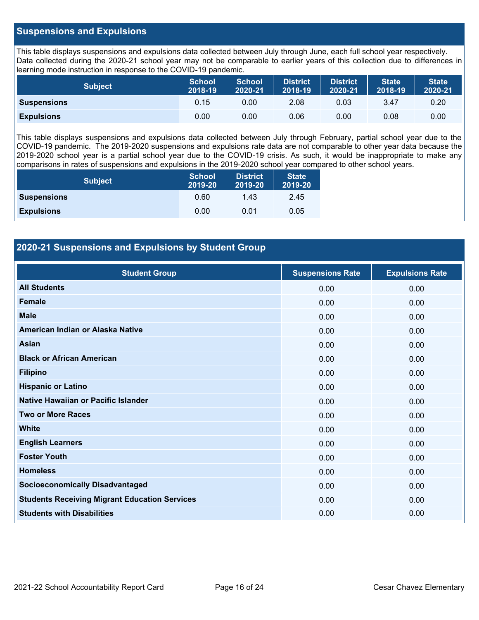### **Suspensions and Expulsions**

This table displays suspensions and expulsions data collected between July through June, each full school year respectively. Data collected during the 2020-21 school year may not be comparable to earlier years of this collection due to differences in learning mode instruction in response to the COVID-19 pandemic.

| <b>Subject</b>     | <b>School</b><br>2018-19 | <b>School</b><br>2020-21 | <b>District</b><br>2018-19 | <b>District</b><br>2020-21 | <b>State</b><br>2018-19 | <b>State</b><br>2020-21 |
|--------------------|--------------------------|--------------------------|----------------------------|----------------------------|-------------------------|-------------------------|
| <b>Suspensions</b> | 0.15                     | 0.00                     | 2.08                       | 0.03                       | 3.47                    | 0.20                    |
| <b>Expulsions</b>  | 0.00                     | 0.00                     | 0.06                       | 0.00                       | 0.08                    | 0.00                    |

This table displays suspensions and expulsions data collected between July through February, partial school year due to the COVID-19 pandemic. The 2019-2020 suspensions and expulsions rate data are not comparable to other year data because the 2019-2020 school year is a partial school year due to the COVID-19 crisis. As such, it would be inappropriate to make any comparisons in rates of suspensions and expulsions in the 2019-2020 school year compared to other school years.

| <b>Subject</b>     | School<br>2019-20 | <b>District</b><br>2019-20 | <b>State</b><br>2019-20 |
|--------------------|-------------------|----------------------------|-------------------------|
| <b>Suspensions</b> | 0.60              | 1.43                       | 2.45                    |
| <b>Expulsions</b>  | 0.00              | 0.01                       | 0.05                    |

## **2020-21 Suspensions and Expulsions by Student Group**

| <b>Student Group</b>                                 | <b>Suspensions Rate</b> | <b>Expulsions Rate</b> |
|------------------------------------------------------|-------------------------|------------------------|
| <b>All Students</b>                                  | 0.00                    | 0.00                   |
| <b>Female</b>                                        | 0.00                    | 0.00                   |
| <b>Male</b>                                          | 0.00                    | 0.00                   |
| American Indian or Alaska Native                     | 0.00                    | 0.00                   |
| <b>Asian</b>                                         | 0.00                    | 0.00                   |
| <b>Black or African American</b>                     | 0.00                    | 0.00                   |
| <b>Filipino</b>                                      | 0.00                    | 0.00                   |
| <b>Hispanic or Latino</b>                            | 0.00                    | 0.00                   |
| Native Hawaiian or Pacific Islander                  | 0.00                    | 0.00                   |
| <b>Two or More Races</b>                             | 0.00                    | 0.00                   |
| <b>White</b>                                         | 0.00                    | 0.00                   |
| <b>English Learners</b>                              | 0.00                    | 0.00                   |
| <b>Foster Youth</b>                                  | 0.00                    | 0.00                   |
| <b>Homeless</b>                                      | 0.00                    | 0.00                   |
| <b>Socioeconomically Disadvantaged</b>               | 0.00                    | 0.00                   |
| <b>Students Receiving Migrant Education Services</b> | 0.00                    | 0.00                   |
| <b>Students with Disabilities</b>                    | 0.00                    | 0.00                   |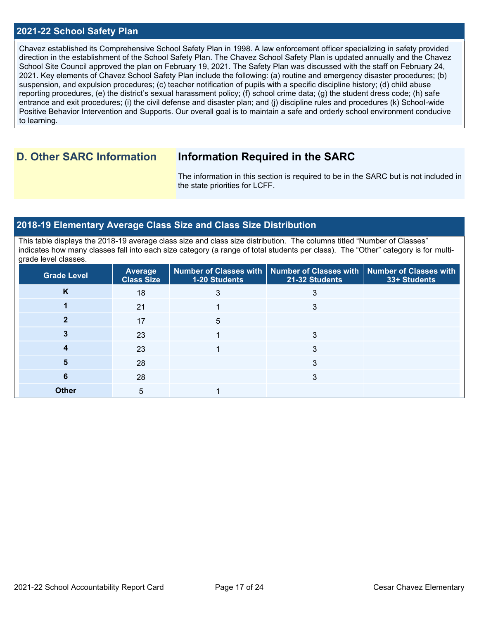#### **2021-22 School Safety Plan**

Chavez established its Comprehensive School Safety Plan in 1998. A law enforcement officer specializing in safety provided direction in the establishment of the School Safety Plan. The Chavez School Safety Plan is updated annually and the Chavez School Site Council approved the plan on February 19, 2021. The Safety Plan was discussed with the staff on February 24, 2021. Key elements of Chavez School Safety Plan include the following: (a) routine and emergency disaster procedures; (b) suspension, and expulsion procedures; (c) teacher notification of pupils with a specific discipline history; (d) child abuse reporting procedures, (e) the district's sexual harassment policy; (f) school crime data; (g) the student dress code; (h) safe entrance and exit procedures; (i) the civil defense and disaster plan; and (j) discipline rules and procedures (k) School-wide Positive Behavior Intervention and Supports. Our overall goal is to maintain a safe and orderly school environment conducive to learning.

## **D. Other SARC Information Information Required in the SARC**

The information in this section is required to be in the SARC but is not included in the state priorities for LCFF.

### **2018-19 Elementary Average Class Size and Class Size Distribution**

This table displays the 2018-19 average class size and class size distribution. The columns titled "Number of Classes" indicates how many classes fall into each size category (a range of total students per class). The "Other" category is for multigrade level classes.

| <b>Grade Level</b> | <b>Average</b><br><b>Class Size</b> | 1-20 Students | Number of Classes with   Number of Classes with   Number of Classes with<br>21-32 Students | 33+ Students |
|--------------------|-------------------------------------|---------------|--------------------------------------------------------------------------------------------|--------------|
| K                  | 18                                  | 3             | 3                                                                                          |              |
|                    | 21                                  |               | 3                                                                                          |              |
|                    | 17                                  | 5             |                                                                                            |              |
|                    | 23                                  |               | 3                                                                                          |              |
|                    | 23                                  |               | 3                                                                                          |              |
| 5                  | 28                                  |               | 3                                                                                          |              |
| 6                  | 28                                  |               | 3                                                                                          |              |
| <b>Other</b>       | 5                                   |               |                                                                                            |              |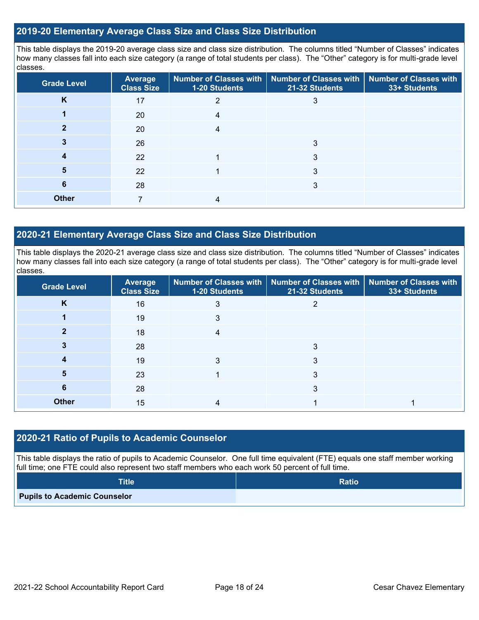### **2019-20 Elementary Average Class Size and Class Size Distribution**

This table displays the 2019-20 average class size and class size distribution. The columns titled "Number of Classes" indicates how many classes fall into each size category (a range of total students per class). The "Other" category is for multi-grade level classes.

| <b>Grade Level</b> | <b>Average</b><br><b>Class Size</b> | <b>Number of Classes with</b><br>1-20 Students | Number of Classes with<br>21-32 Students | <b>Number of Classes with</b><br>33+ Students |
|--------------------|-------------------------------------|------------------------------------------------|------------------------------------------|-----------------------------------------------|
| K                  | 17                                  |                                                |                                          |                                               |
|                    | 20                                  |                                                |                                          |                                               |
|                    | 20                                  |                                                |                                          |                                               |
|                    | 26                                  |                                                | 3                                        |                                               |
|                    | 22                                  |                                                | 3                                        |                                               |
| 5                  | 22                                  |                                                | 3                                        |                                               |
| 6                  | 28                                  |                                                | 3                                        |                                               |
| <b>Other</b>       | $\overline{ }$                      | 4                                              |                                          |                                               |

## **2020-21 Elementary Average Class Size and Class Size Distribution**

This table displays the 2020-21 average class size and class size distribution. The columns titled "Number of Classes" indicates how many classes fall into each size category (a range of total students per class). The "Other" category is for multi-grade level classes.

| <b>Grade Level</b> | <b>Average</b><br><b>Class Size</b> | 1-20 Students | Number of Classes with   Number of Classes with  <br>21-32 Students | Number of Classes with<br>33+ Students |
|--------------------|-------------------------------------|---------------|---------------------------------------------------------------------|----------------------------------------|
| K                  | 16                                  | 3             | 2                                                                   |                                        |
|                    | 19                                  | 3             |                                                                     |                                        |
|                    | 18                                  | 4             |                                                                     |                                        |
|                    | 28                                  |               | 3                                                                   |                                        |
|                    | 19                                  |               | 3                                                                   |                                        |
| 5                  | 23                                  |               | 3                                                                   |                                        |
| 6                  | 28                                  |               | 3                                                                   |                                        |
| <b>Other</b>       | 15                                  |               |                                                                     |                                        |

#### **2020-21 Ratio of Pupils to Academic Counselor**

This table displays the ratio of pupils to Academic Counselor. One full time equivalent (FTE) equals one staff member working full time; one FTE could also represent two staff members who each work 50 percent of full time.

| <b>Title</b>                        | <b>Ratio</b> |
|-------------------------------------|--------------|
| <b>Pupils to Academic Counselor</b> |              |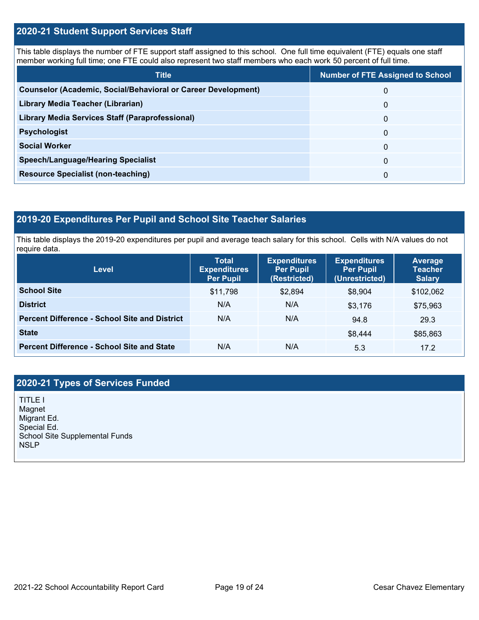### **2020-21 Student Support Services Staff**

This table displays the number of FTE support staff assigned to this school. One full time equivalent (FTE) equals one staff member working full time; one FTE could also represent two staff members who each work 50 percent of full time.

| <b>Title</b>                                                         | <b>Number of FTE Assigned to School</b> |
|----------------------------------------------------------------------|-----------------------------------------|
| <b>Counselor (Academic, Social/Behavioral or Career Development)</b> | 0                                       |
| Library Media Teacher (Librarian)                                    | 0                                       |
| Library Media Services Staff (Paraprofessional)                      | 0                                       |
| <b>Psychologist</b>                                                  | 0                                       |
| <b>Social Worker</b>                                                 | $\Omega$                                |
| <b>Speech/Language/Hearing Specialist</b>                            | 0                                       |
| <b>Resource Specialist (non-teaching)</b>                            | 0                                       |

## **2019-20 Expenditures Per Pupil and School Site Teacher Salaries**

This table displays the 2019-20 expenditures per pupil and average teach salary for this school. Cells with N/A values do not require data.

| <b>Level</b>                                         | <b>Total</b><br><b>Expenditures</b><br><b>Per Pupil</b> | <b>Expenditures</b><br><b>Per Pupil</b><br>(Restricted) | <b>Expenditures</b><br><b>Per Pupil</b><br>(Unrestricted) | <b>Average</b><br><b>Teacher</b><br><b>Salary</b> |
|------------------------------------------------------|---------------------------------------------------------|---------------------------------------------------------|-----------------------------------------------------------|---------------------------------------------------|
| <b>School Site</b>                                   | \$11,798                                                | \$2,894                                                 | \$8,904                                                   | \$102,062                                         |
| <b>District</b>                                      | N/A                                                     | N/A                                                     | \$3,176                                                   | \$75,963                                          |
| <b>Percent Difference - School Site and District</b> | N/A                                                     | N/A                                                     | 94.8                                                      | 29.3                                              |
| <b>State</b>                                         |                                                         |                                                         | \$8,444                                                   | \$85,863                                          |
| <b>Percent Difference - School Site and State</b>    | N/A                                                     | N/A                                                     | 5.3                                                       | 17.2                                              |

## **2020-21 Types of Services Funded**

TITLE I Magnet Migrant Ed. Special Ed. School Site Supplemental Funds **NSLP**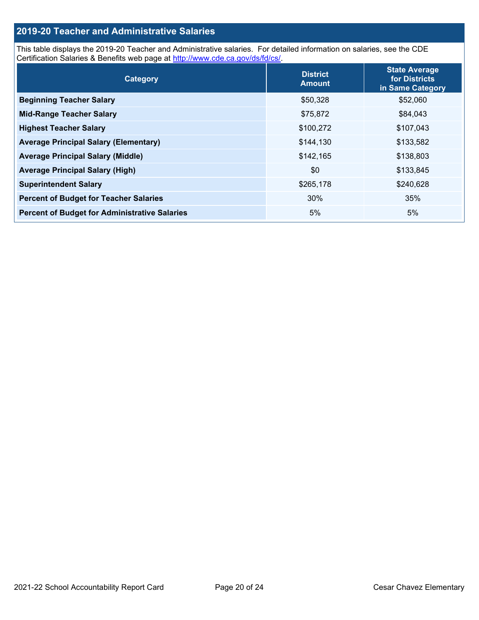## **2019-20 Teacher and Administrative Salaries**

This table displays the 2019-20 Teacher and Administrative salaries. For detailed information on salaries, see the CDE Certification Salaries & Benefits web page at [http://www.cde.ca.gov/ds/fd/cs/.](http://www.cde.ca.gov/ds/fd/cs/)

| Category                                             | <b>District</b><br><b>Amount</b> | <b>State Average</b><br>for Districts<br>in Same Category |
|------------------------------------------------------|----------------------------------|-----------------------------------------------------------|
| <b>Beginning Teacher Salary</b>                      | \$50,328                         | \$52,060                                                  |
| <b>Mid-Range Teacher Salary</b>                      | \$75,872                         | \$84,043                                                  |
| <b>Highest Teacher Salary</b>                        | \$100,272                        | \$107,043                                                 |
| <b>Average Principal Salary (Elementary)</b>         | \$144,130                        | \$133,582                                                 |
| <b>Average Principal Salary (Middle)</b>             | \$142,165                        | \$138,803                                                 |
| <b>Average Principal Salary (High)</b>               | \$0                              | \$133,845                                                 |
| <b>Superintendent Salary</b>                         | \$265,178                        | \$240,628                                                 |
| <b>Percent of Budget for Teacher Salaries</b>        | 30%                              | 35%                                                       |
| <b>Percent of Budget for Administrative Salaries</b> | 5%                               | 5%                                                        |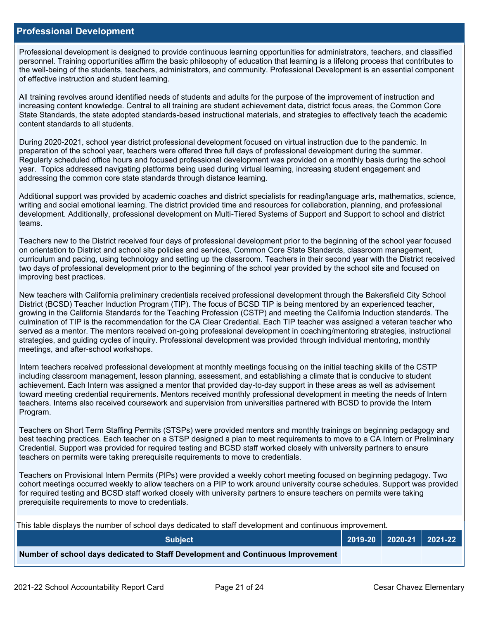#### **Professional Development**

Professional development is designed to provide continuous learning opportunities for administrators, teachers, and classified personnel. Training opportunities affirm the basic philosophy of education that learning is a lifelong process that contributes to the well-being of the students, teachers, administrators, and community. Professional Development is an essential component of effective instruction and student learning.

All training revolves around identified needs of students and adults for the purpose of the improvement of instruction and increasing content knowledge. Central to all training are student achievement data, district focus areas, the Common Core State Standards, the state adopted standards-based instructional materials, and strategies to effectively teach the academic content standards to all students.

During 2020-2021, school year district professional development focused on virtual instruction due to the pandemic. In preparation of the school year, teachers were offered three full days of professional development during the summer. Regularly scheduled office hours and focused professional development was provided on a monthly basis during the school year. Topics addressed navigating platforms being used during virtual learning, increasing student engagement and addressing the common core state standards through distance learning.

Additional support was provided by academic coaches and district specialists for reading/language arts, mathematics, science, writing and social emotional learning. The district provided time and resources for collaboration, planning, and professional development. Additionally, professional development on Multi-Tiered Systems of Support and Support to school and district teams.

Teachers new to the District received four days of professional development prior to the beginning of the school year focused on orientation to District and school site policies and services, Common Core State Standards, classroom management, curriculum and pacing, using technology and setting up the classroom. Teachers in their second year with the District received two days of professional development prior to the beginning of the school year provided by the school site and focused on improving best practices.

New teachers with California preliminary credentials received professional development through the Bakersfield City School District (BCSD) Teacher Induction Program (TIP). The focus of BCSD TIP is being mentored by an experienced teacher, growing in the California Standards for the Teaching Profession (CSTP) and meeting the California Induction standards. The culmination of TIP is the recommendation for the CA Clear Credential. Each TIP teacher was assigned a veteran teacher who served as a mentor. The mentors received on-going professional development in coaching/mentoring strategies, instructional strategies, and guiding cycles of inquiry. Professional development was provided through individual mentoring, monthly meetings, and after-school workshops.

Intern teachers received professional development at monthly meetings focusing on the initial teaching skills of the CSTP including classroom management, lesson planning, assessment, and establishing a climate that is conducive to student achievement. Each Intern was assigned a mentor that provided day-to-day support in these areas as well as advisement toward meeting credential requirements. Mentors received monthly professional development in meeting the needs of Intern teachers. Interns also received coursework and supervision from universities partnered with BCSD to provide the Intern Program.

Teachers on Short Term Staffing Permits (STSPs) were provided mentors and monthly trainings on beginning pedagogy and best teaching practices. Each teacher on a STSP designed a plan to meet requirements to move to a CA Intern or Preliminary Credential. Support was provided for required testing and BCSD staff worked closely with university partners to ensure teachers on permits were taking prerequisite requirements to move to credentials.

Teachers on Provisional Intern Permits (PIPs) were provided a weekly cohort meeting focused on beginning pedagogy. Two cohort meetings occurred weekly to allow teachers on a PIP to work around university course schedules. Support was provided for required testing and BCSD staff worked closely with university partners to ensure teachers on permits were taking prerequisite requirements to move to credentials.

This table displays the number of school days dedicated to staff development and continuous improvement.

| <b>Subject</b>                                                                  |  | │ 2019-20 │ 2020-21 │ 2021-22 │ |
|---------------------------------------------------------------------------------|--|---------------------------------|
| Number of school days dedicated to Staff Development and Continuous Improvement |  |                                 |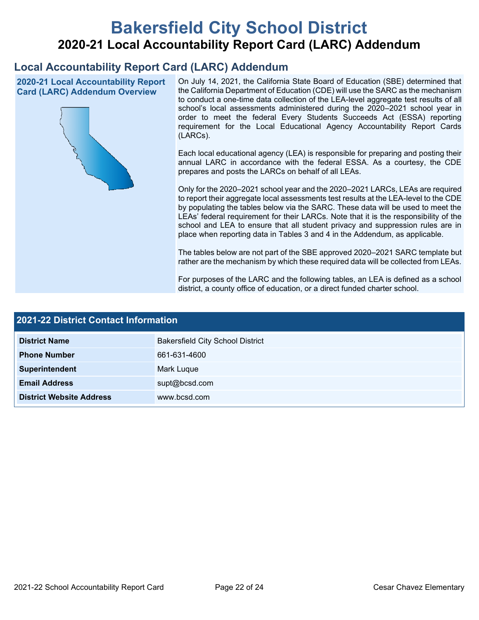# **Bakersfield City School District 2020-21 Local Accountability Report Card (LARC) Addendum**

## **Local Accountability Report Card (LARC) Addendum**

**2020-21 Local Accountability Report Card (LARC) Addendum Overview**



On July 14, 2021, the California State Board of Education (SBE) determined that the California Department of Education (CDE) will use the SARC as the mechanism to conduct a one-time data collection of the LEA-level aggregate test results of all school's local assessments administered during the 2020–2021 school year in order to meet the federal Every Students Succeeds Act (ESSA) reporting requirement for the Local Educational Agency Accountability Report Cards (LARCs).

Each local educational agency (LEA) is responsible for preparing and posting their annual LARC in accordance with the federal ESSA. As a courtesy, the CDE prepares and posts the LARCs on behalf of all LEAs.

Only for the 2020–2021 school year and the 2020–2021 LARCs, LEAs are required to report their aggregate local assessments test results at the LEA-level to the CDE by populating the tables below via the SARC. These data will be used to meet the LEAs' federal requirement for their LARCs. Note that it is the responsibility of the school and LEA to ensure that all student privacy and suppression rules are in place when reporting data in Tables 3 and 4 in the Addendum, as applicable.

The tables below are not part of the SBE approved 2020–2021 SARC template but rather are the mechanism by which these required data will be collected from LEAs.

For purposes of the LARC and the following tables, an LEA is defined as a school district, a county office of education, or a direct funded charter school.

| <b>2021-22 District Contact Information</b> |                                         |  |  |  |
|---------------------------------------------|-----------------------------------------|--|--|--|
| <b>District Name</b>                        | <b>Bakersfield City School District</b> |  |  |  |
| <b>Phone Number</b>                         | 661-631-4600                            |  |  |  |
| Superintendent                              | Mark Luque                              |  |  |  |
| <b>Email Address</b>                        | supt@bcsd.com                           |  |  |  |
| <b>District Website Address</b>             | www.bcsd.com                            |  |  |  |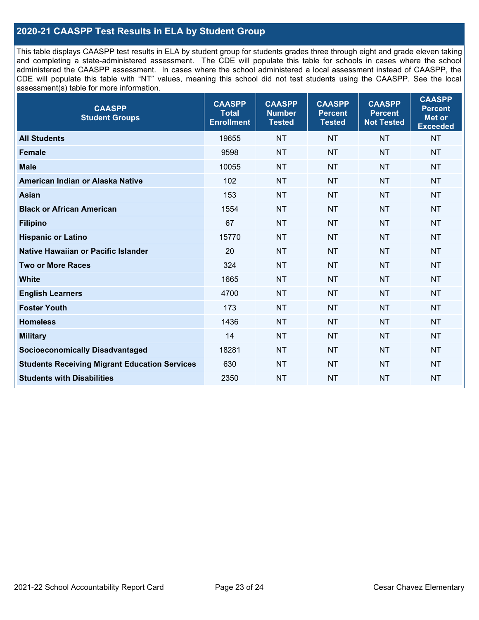## **2020-21 CAASPP Test Results in ELA by Student Group**

This table displays CAASPP test results in ELA by student group for students grades three through eight and grade eleven taking and completing a state-administered assessment. The CDE will populate this table for schools in cases where the school administered the CAASPP assessment. In cases where the school administered a local assessment instead of CAASPP, the CDE will populate this table with "NT" values, meaning this school did not test students using the CAASPP. See the local assessment(s) table for more information.

| <b>CAASPP</b><br><b>Student Groups</b>               | <b>CAASPP</b><br><b>Total</b><br><b>Enrollment</b> | <b>CAASPP</b><br><b>Number</b><br><b>Tested</b> | <b>CAASPP</b><br><b>Percent</b><br><b>Tested</b> | <b>CAASPP</b><br><b>Percent</b><br><b>Not Tested</b> | <b>CAASPP</b><br><b>Percent</b><br>Met or<br><b>Exceeded</b> |
|------------------------------------------------------|----------------------------------------------------|-------------------------------------------------|--------------------------------------------------|------------------------------------------------------|--------------------------------------------------------------|
| <b>All Students</b>                                  | 19655                                              | <b>NT</b>                                       | <b>NT</b>                                        | <b>NT</b>                                            | <b>NT</b>                                                    |
| <b>Female</b>                                        | 9598                                               | <b>NT</b>                                       | <b>NT</b>                                        | <b>NT</b>                                            | <b>NT</b>                                                    |
| <b>Male</b>                                          | 10055                                              | <b>NT</b>                                       | <b>NT</b>                                        | <b>NT</b>                                            | <b>NT</b>                                                    |
| American Indian or Alaska Native                     | 102                                                | <b>NT</b>                                       | <b>NT</b>                                        | <b>NT</b>                                            | <b>NT</b>                                                    |
| <b>Asian</b>                                         | 153                                                | <b>NT</b>                                       | <b>NT</b>                                        | <b>NT</b>                                            | <b>NT</b>                                                    |
| <b>Black or African American</b>                     | 1554                                               | <b>NT</b>                                       | <b>NT</b>                                        | <b>NT</b>                                            | <b>NT</b>                                                    |
| <b>Filipino</b>                                      | 67                                                 | <b>NT</b>                                       | <b>NT</b>                                        | <b>NT</b>                                            | <b>NT</b>                                                    |
| <b>Hispanic or Latino</b>                            | 15770                                              | <b>NT</b>                                       | <b>NT</b>                                        | <b>NT</b>                                            | <b>NT</b>                                                    |
| Native Hawaiian or Pacific Islander                  | 20                                                 | <b>NT</b>                                       | <b>NT</b>                                        | <b>NT</b>                                            | <b>NT</b>                                                    |
| <b>Two or More Races</b>                             | 324                                                | <b>NT</b>                                       | <b>NT</b>                                        | <b>NT</b>                                            | <b>NT</b>                                                    |
| <b>White</b>                                         | 1665                                               | <b>NT</b>                                       | <b>NT</b>                                        | <b>NT</b>                                            | <b>NT</b>                                                    |
| <b>English Learners</b>                              | 4700                                               | <b>NT</b>                                       | <b>NT</b>                                        | <b>NT</b>                                            | <b>NT</b>                                                    |
| <b>Foster Youth</b>                                  | 173                                                | <b>NT</b>                                       | <b>NT</b>                                        | <b>NT</b>                                            | <b>NT</b>                                                    |
| <b>Homeless</b>                                      | 1436                                               | <b>NT</b>                                       | <b>NT</b>                                        | <b>NT</b>                                            | <b>NT</b>                                                    |
| <b>Military</b>                                      | 14                                                 | <b>NT</b>                                       | <b>NT</b>                                        | <b>NT</b>                                            | <b>NT</b>                                                    |
| <b>Socioeconomically Disadvantaged</b>               | 18281                                              | <b>NT</b>                                       | <b>NT</b>                                        | <b>NT</b>                                            | <b>NT</b>                                                    |
| <b>Students Receiving Migrant Education Services</b> | 630                                                | <b>NT</b>                                       | <b>NT</b>                                        | <b>NT</b>                                            | NT                                                           |
| <b>Students with Disabilities</b>                    | 2350                                               | <b>NT</b>                                       | <b>NT</b>                                        | <b>NT</b>                                            | <b>NT</b>                                                    |